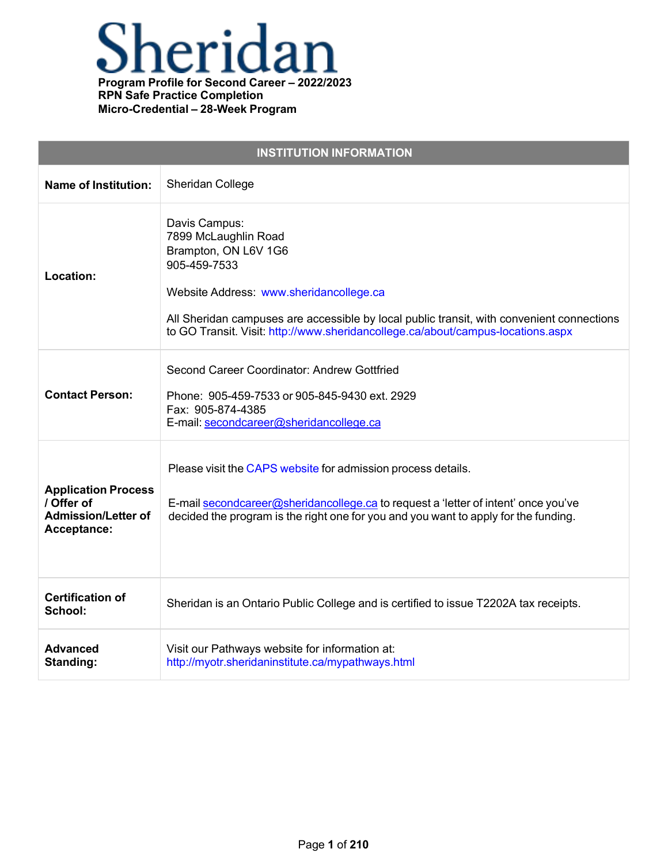

| <b>INSTITUTION INFORMATION</b>                                                        |                                                                                                                                                                                                                                                                                                          |  |
|---------------------------------------------------------------------------------------|----------------------------------------------------------------------------------------------------------------------------------------------------------------------------------------------------------------------------------------------------------------------------------------------------------|--|
| <b>Name of Institution:</b>                                                           | Sheridan College                                                                                                                                                                                                                                                                                         |  |
| Location:                                                                             | Davis Campus:<br>7899 McLaughlin Road<br>Brampton, ON L6V 1G6<br>905-459-7533<br>Website Address: www.sheridancollege.ca<br>All Sheridan campuses are accessible by local public transit, with convenient connections<br>to GO Transit. Visit: http://www.sheridancollege.ca/about/campus-locations.aspx |  |
| <b>Contact Person:</b>                                                                | Second Career Coordinator: Andrew Gottfried<br>Phone: 905-459-7533 or 905-845-9430 ext. 2929<br>Fax: 905-874-4385<br>E-mail: secondcareer@sheridancollege.ca                                                                                                                                             |  |
| <b>Application Process</b><br>/ Offer of<br><b>Admission/Letter of</b><br>Acceptance: | Please visit the CAPS website for admission process details.<br>E-mail secondcareer@sheridancollege.ca to request a 'letter of intent' once you've<br>decided the program is the right one for you and you want to apply for the funding.                                                                |  |
| <b>Certification of</b><br>School:                                                    | Sheridan is an Ontario Public College and is certified to issue T2202A tax receipts.                                                                                                                                                                                                                     |  |
| <b>Advanced</b><br>Standing:                                                          | Visit our Pathways website for information at:<br>http://myotr.sheridaninstitute.ca/mypathways.html                                                                                                                                                                                                      |  |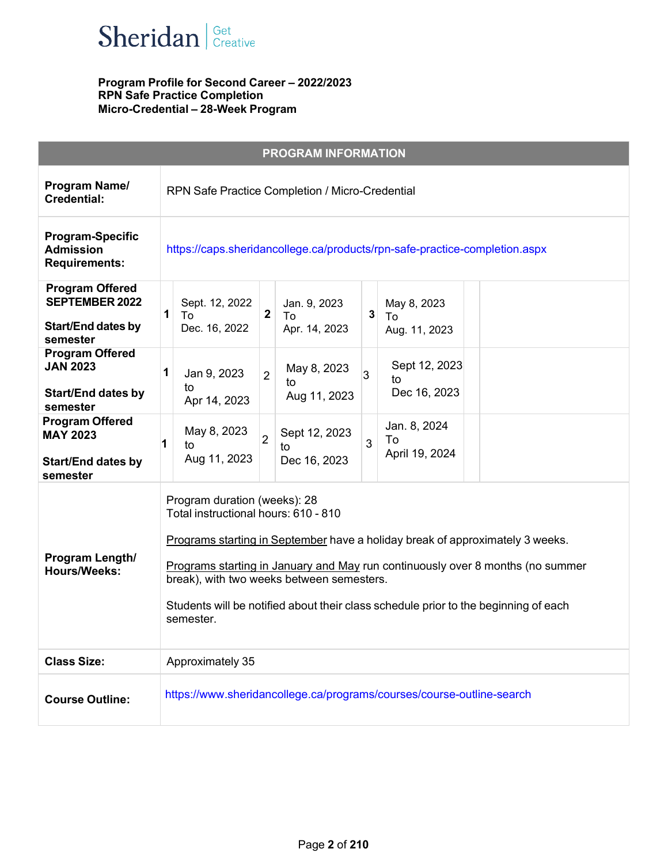

|                                                                                          | <b>PROGRAM INFORMATION</b>                                                                                                                                                                                                                                                                                                                                                               |
|------------------------------------------------------------------------------------------|------------------------------------------------------------------------------------------------------------------------------------------------------------------------------------------------------------------------------------------------------------------------------------------------------------------------------------------------------------------------------------------|
| Program Name/<br><b>Credential:</b>                                                      | RPN Safe Practice Completion / Micro-Credential                                                                                                                                                                                                                                                                                                                                          |
| <b>Program-Specific</b><br><b>Admission</b><br><b>Requirements:</b>                      | https://caps.sheridancollege.ca/products/rpn-safe-practice-completion.aspx                                                                                                                                                                                                                                                                                                               |
| <b>Program Offered</b><br><b>SEPTEMBER 2022</b><br><b>Start/End dates by</b><br>semester | Sept. 12, 2022<br>Jan. 9, 2023<br>May 8, 2023<br>1<br>$\mathbf{2}$<br>3<br>To<br>To<br>To<br>Dec. 16, 2022<br>Apr. 14, 2023<br>Aug. 11, 2023                                                                                                                                                                                                                                             |
| <b>Program Offered</b><br><b>JAN 2023</b><br><b>Start/End dates by</b><br>semester       | Sept 12, 2023<br>May 8, 2023<br>1<br>Jan 9, 2023<br>$\overline{2}$<br>$\overline{3}$<br>to<br>to<br>to<br>Dec 16, 2023<br>Aug 11, 2023<br>Apr 14, 2023                                                                                                                                                                                                                                   |
| <b>Program Offered</b><br><b>MAY 2023</b><br><b>Start/End dates by</b><br>semester       | Jan. 8, 2024<br>May 8, 2023<br>Sept 12, 2023<br>$\overline{2}$<br>To<br>3<br>1<br>to<br>to<br>April 19, 2024<br>Aug 11, 2023<br>Dec 16, 2023                                                                                                                                                                                                                                             |
| Program Length/<br><b>Hours/Weeks:</b>                                                   | Program duration (weeks): 28<br>Total instructional hours: 610 - 810<br>Programs starting in September have a holiday break of approximately 3 weeks.<br>Programs starting in January and May run continuously over 8 months (no summer<br>break), with two weeks between semesters.<br>Students will be notified about their class schedule prior to the beginning of each<br>semester. |
| <b>Class Size:</b>                                                                       | Approximately 35                                                                                                                                                                                                                                                                                                                                                                         |
| <b>Course Outline:</b>                                                                   | https://www.sheridancollege.ca/programs/courses/course-outline-search                                                                                                                                                                                                                                                                                                                    |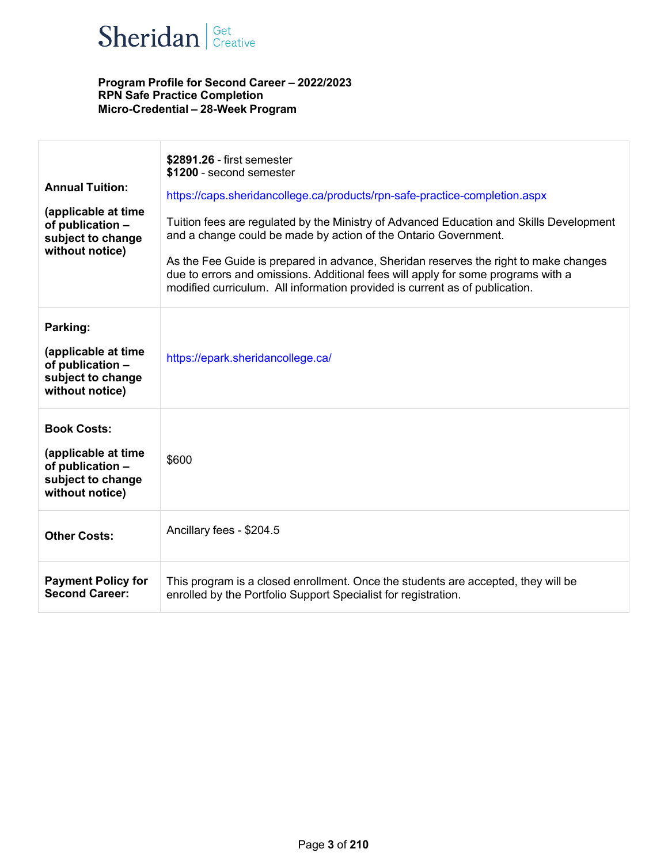

| <b>Annual Tuition:</b><br>(applicable at time<br>of publication -<br>subject to change<br>without notice) | \$2891.26 - first semester<br>\$1200 - second semester<br>https://caps.sheridancollege.ca/products/rpn-safe-practice-completion.aspx<br>Tuition fees are regulated by the Ministry of Advanced Education and Skills Development<br>and a change could be made by action of the Ontario Government.<br>As the Fee Guide is prepared in advance, Sheridan reserves the right to make changes<br>due to errors and omissions. Additional fees will apply for some programs with a<br>modified curriculum. All information provided is current as of publication. |
|-----------------------------------------------------------------------------------------------------------|---------------------------------------------------------------------------------------------------------------------------------------------------------------------------------------------------------------------------------------------------------------------------------------------------------------------------------------------------------------------------------------------------------------------------------------------------------------------------------------------------------------------------------------------------------------|
| Parking:<br>(applicable at time<br>of publication -<br>subject to change<br>without notice)               | https://epark.sheridancollege.ca/                                                                                                                                                                                                                                                                                                                                                                                                                                                                                                                             |
| <b>Book Costs:</b><br>(applicable at time<br>of publication -<br>subject to change<br>without notice)     | \$600                                                                                                                                                                                                                                                                                                                                                                                                                                                                                                                                                         |
| <b>Other Costs:</b>                                                                                       | Ancillary fees - \$204.5                                                                                                                                                                                                                                                                                                                                                                                                                                                                                                                                      |
| <b>Payment Policy for</b><br><b>Second Career:</b>                                                        | This program is a closed enrollment. Once the students are accepted, they will be<br>enrolled by the Portfolio Support Specialist for registration.                                                                                                                                                                                                                                                                                                                                                                                                           |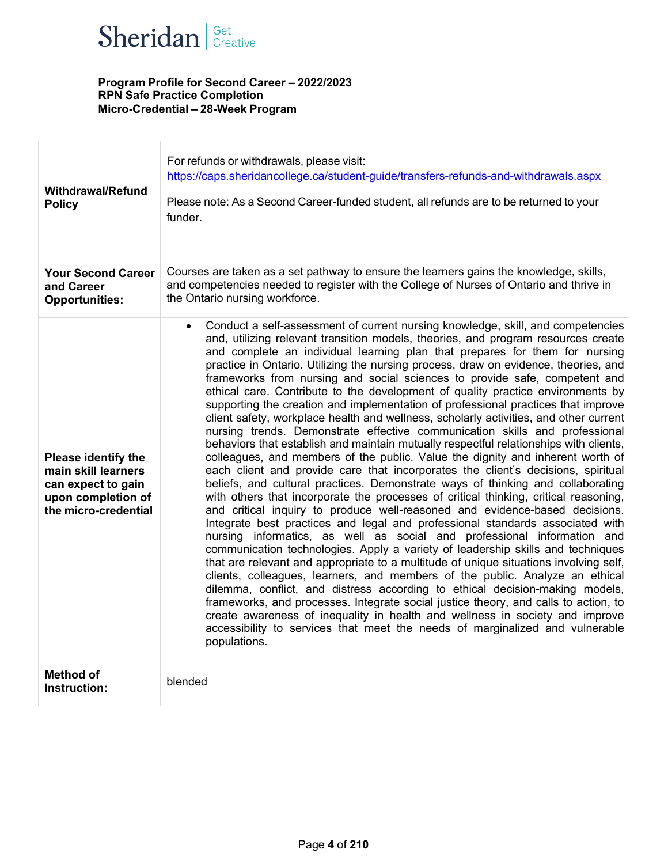

| <b>Withdrawal/Refund</b><br><b>Policy</b>                                                                      | For refunds or withdrawals, please visit:<br>https://caps.sheridancollege.ca/student-guide/transfers-refunds-and-withdrawals.aspx<br>Please note: As a Second Career-funded student, all refunds are to be returned to your<br>funder.                                                                                                                                                                                                                                                                                                                                                                                                                                                                                                                                                                                                                                                                                                                                                                                                                                                                                                                                                                                                                                                                                                                                                                                                                                                                                                                                                                                                                                                                                                                                                                                                                                                                                                                                                                                                                                                        |
|----------------------------------------------------------------------------------------------------------------|-----------------------------------------------------------------------------------------------------------------------------------------------------------------------------------------------------------------------------------------------------------------------------------------------------------------------------------------------------------------------------------------------------------------------------------------------------------------------------------------------------------------------------------------------------------------------------------------------------------------------------------------------------------------------------------------------------------------------------------------------------------------------------------------------------------------------------------------------------------------------------------------------------------------------------------------------------------------------------------------------------------------------------------------------------------------------------------------------------------------------------------------------------------------------------------------------------------------------------------------------------------------------------------------------------------------------------------------------------------------------------------------------------------------------------------------------------------------------------------------------------------------------------------------------------------------------------------------------------------------------------------------------------------------------------------------------------------------------------------------------------------------------------------------------------------------------------------------------------------------------------------------------------------------------------------------------------------------------------------------------------------------------------------------------------------------------------------------------|
| <b>Your Second Career</b><br>and Career<br><b>Opportunities:</b>                                               | Courses are taken as a set pathway to ensure the learners gains the knowledge, skills,<br>and competencies needed to register with the College of Nurses of Ontario and thrive in<br>the Ontario nursing workforce.                                                                                                                                                                                                                                                                                                                                                                                                                                                                                                                                                                                                                                                                                                                                                                                                                                                                                                                                                                                                                                                                                                                                                                                                                                                                                                                                                                                                                                                                                                                                                                                                                                                                                                                                                                                                                                                                           |
| Please identify the<br>main skill learners<br>can expect to gain<br>upon completion of<br>the micro-credential | Conduct a self-assessment of current nursing knowledge, skill, and competencies<br>$\bullet$<br>and, utilizing relevant transition models, theories, and program resources create<br>and complete an individual learning plan that prepares for them for nursing<br>practice in Ontario. Utilizing the nursing process, draw on evidence, theories, and<br>frameworks from nursing and social sciences to provide safe, competent and<br>ethical care. Contribute to the development of quality practice environments by<br>supporting the creation and implementation of professional practices that improve<br>client safety, workplace health and wellness, scholarly activities, and other current<br>nursing trends. Demonstrate effective communication skills and professional<br>behaviors that establish and maintain mutually respectful relationships with clients,<br>colleagues, and members of the public. Value the dignity and inherent worth of<br>each client and provide care that incorporates the client's decisions, spiritual<br>beliefs, and cultural practices. Demonstrate ways of thinking and collaborating<br>with others that incorporate the processes of critical thinking, critical reasoning,<br>and critical inquiry to produce well-reasoned and evidence-based decisions.<br>Integrate best practices and legal and professional standards associated with<br>nursing informatics, as well as social and professional information and<br>communication technologies. Apply a variety of leadership skills and techniques<br>that are relevant and appropriate to a multitude of unique situations involving self,<br>clients, colleagues, learners, and members of the public. Analyze an ethical<br>dilemma, conflict, and distress according to ethical decision-making models,<br>frameworks, and processes. Integrate social justice theory, and calls to action, to<br>create awareness of inequality in health and wellness in society and improve<br>accessibility to services that meet the needs of marginalized and vulnerable<br>populations. |
| <b>Method of</b><br>Instruction:                                                                               | blended                                                                                                                                                                                                                                                                                                                                                                                                                                                                                                                                                                                                                                                                                                                                                                                                                                                                                                                                                                                                                                                                                                                                                                                                                                                                                                                                                                                                                                                                                                                                                                                                                                                                                                                                                                                                                                                                                                                                                                                                                                                                                       |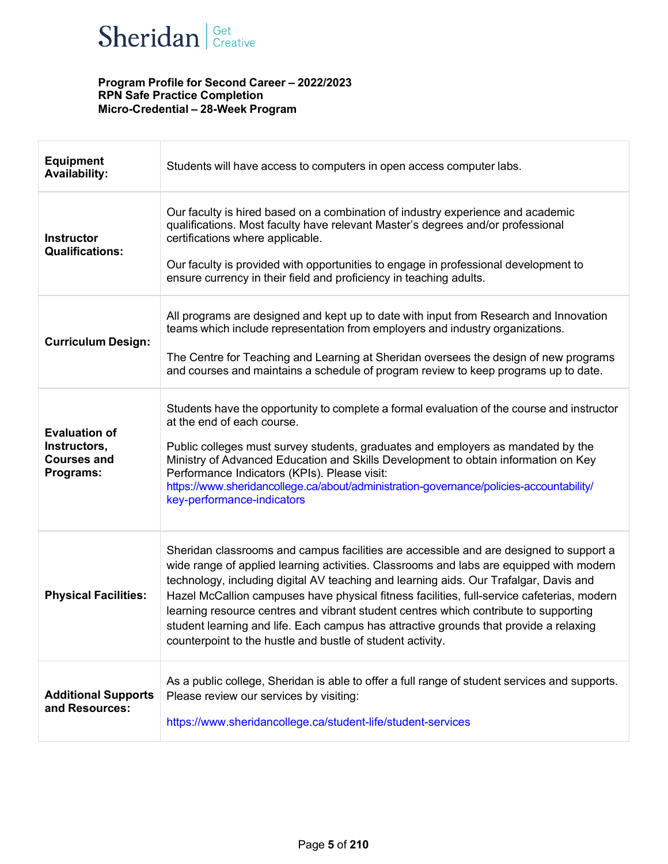

| <b>Equipment</b><br><b>Availability:</b>                                | Students will have access to computers in open access computer labs.                                                                                                                                                                                                                                                                                                                                                                                                                                                                                                                                                    |
|-------------------------------------------------------------------------|-------------------------------------------------------------------------------------------------------------------------------------------------------------------------------------------------------------------------------------------------------------------------------------------------------------------------------------------------------------------------------------------------------------------------------------------------------------------------------------------------------------------------------------------------------------------------------------------------------------------------|
| <b>Instructor</b><br><b>Qualifications:</b>                             | Our faculty is hired based on a combination of industry experience and academic<br>qualifications. Most faculty have relevant Master's degrees and/or professional<br>certifications where applicable.<br>Our faculty is provided with opportunities to engage in professional development to<br>ensure currency in their field and proficiency in teaching adults.                                                                                                                                                                                                                                                     |
| <b>Curriculum Design:</b>                                               | All programs are designed and kept up to date with input from Research and Innovation<br>teams which include representation from employers and industry organizations.<br>The Centre for Teaching and Learning at Sheridan oversees the design of new programs<br>and courses and maintains a schedule of program review to keep programs up to date.                                                                                                                                                                                                                                                                   |
| <b>Evaluation of</b><br>Instructors,<br><b>Courses and</b><br>Programs: | Students have the opportunity to complete a formal evaluation of the course and instructor<br>at the end of each course.<br>Public colleges must survey students, graduates and employers as mandated by the<br>Ministry of Advanced Education and Skills Development to obtain information on Key<br>Performance Indicators (KPIs). Please visit:<br>https://www.sheridancollege.ca/about/administration-governance/policies-accountability/<br>key-performance-indicators                                                                                                                                             |
| <b>Physical Facilities:</b>                                             | Sheridan classrooms and campus facilities are accessible and are designed to support a<br>wide range of applied learning activities. Classrooms and labs are equipped with modern<br>technology, including digital AV teaching and learning aids. Our Trafalgar, Davis and<br>Hazel McCallion campuses have physical fitness facilities, full-service cafeterias, modern<br>learning resource centres and vibrant student centres which contribute to supporting<br>student learning and life. Each campus has attractive grounds that provide a relaxing<br>counterpoint to the hustle and bustle of student activity. |
| <b>Additional Supports</b><br>and Resources:                            | As a public college, Sheridan is able to offer a full range of student services and supports.<br>Please review our services by visiting:<br>https://www.sheridancollege.ca/student-life/student-services                                                                                                                                                                                                                                                                                                                                                                                                                |